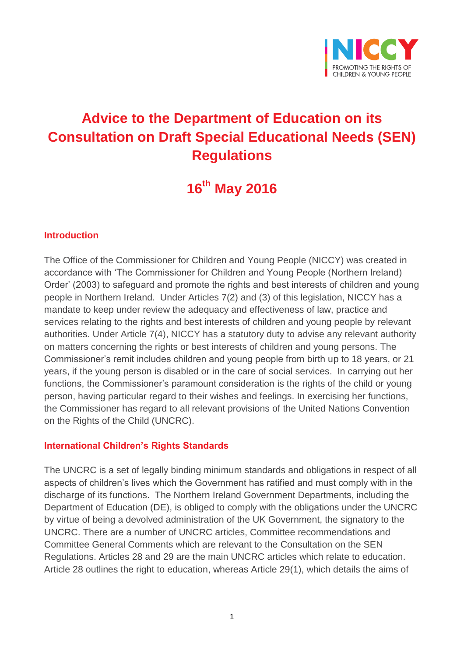

# **Advice to the Department of Education on its Consultation on Draft Special Educational Needs (SEN) Regulations**

# **16th May 2016**

#### **Introduction**

The Office of the Commissioner for Children and Young People (NICCY) was created in accordance with 'The Commissioner for Children and Young People (Northern Ireland) Order' (2003) to safeguard and promote the rights and best interests of children and young people in Northern Ireland. Under Articles 7(2) and (3) of this legislation, NICCY has a mandate to keep under review the adequacy and effectiveness of law, practice and services relating to the rights and best interests of children and young people by relevant authorities. Under Article 7(4), NICCY has a statutory duty to advise any relevant authority on matters concerning the rights or best interests of children and young persons. The Commissioner's remit includes children and young people from birth up to 18 years, or 21 years, if the young person is disabled or in the care of social services. In carrying out her functions, the Commissioner's paramount consideration is the rights of the child or young person, having particular regard to their wishes and feelings. In exercising her functions, the Commissioner has regard to all relevant provisions of the United Nations Convention on the Rights of the Child (UNCRC).

#### **International Children's Rights Standards**

The UNCRC is a set of legally binding minimum standards and obligations in respect of all aspects of children's lives which the Government has ratified and must comply with in the discharge of its functions. The Northern Ireland Government Departments, including the Department of Education (DE), is obliged to comply with the obligations under the UNCRC by virtue of being a devolved administration of the UK Government, the signatory to the UNCRC. There are a number of UNCRC articles, Committee recommendations and Committee General Comments which are relevant to the Consultation on the SEN Regulations. Articles 28 and 29 are the main UNCRC articles which relate to education. Article 28 outlines the right to education, whereas Article 29(1), which details the aims of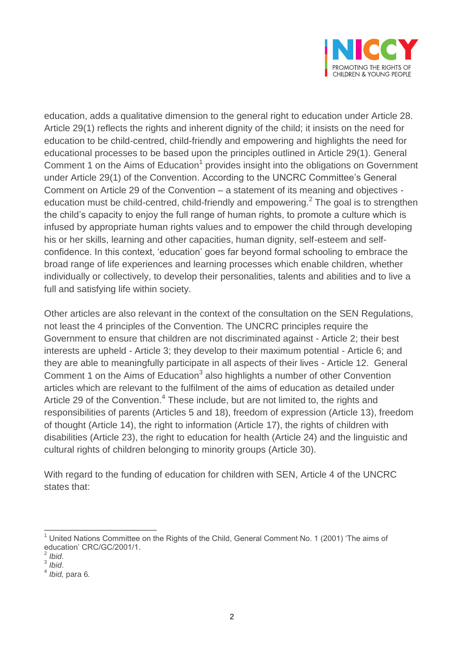

education, adds a qualitative dimension to the general right to education under Article 28. Article 29(1) reflects the rights and inherent dignity of the child; it insists on the need for education to be child-centred, child-friendly and empowering and highlights the need for educational processes to be based upon the principles outlined in Article 29(1). General Comment 1 on the Aims of Education<sup>1</sup> provides insight into the obligations on Government under Article 29(1) of the Convention. According to the UNCRC Committee's General Comment on Article 29 of the Convention – a statement of its meaning and objectives education must be child-centred, child-friendly and empowering.<sup>2</sup> The goal is to strengthen the child's capacity to enjoy the full range of human rights, to promote a culture which is infused by appropriate human rights values and to empower the child through developing his or her skills, learning and other capacities, human dignity, self-esteem and selfconfidence. In this context, 'education' goes far beyond formal schooling to embrace the broad range of life experiences and learning processes which enable children, whether individually or collectively, to develop their personalities, talents and abilities and to live a full and satisfying life within society.

Other articles are also relevant in the context of the consultation on the SEN Regulations, not least the 4 principles of the Convention. The UNCRC principles require the Government to ensure that children are not discriminated against - Article 2; their best interests are upheld - Article 3; they develop to their maximum potential - Article 6; and they are able to meaningfully participate in all aspects of their lives - Article 12. General Comment 1 on the Aims of Education<sup>3</sup> also highlights a number of other Convention articles which are relevant to the fulfilment of the aims of education as detailed under Article 29 of the Convention.<sup>4</sup> These include, but are not limited to, the rights and responsibilities of parents (Articles 5 and 18), freedom of expression (Article 13), freedom of thought (Article 14), the right to information (Article 17), the rights of children with disabilities (Article 23), the right to education for health (Article 24) and the linguistic and cultural rights of children belonging to minority groups (Article 30).

With regard to the funding of education for children with SEN, Article 4 of the UNCRC states that:

 $\overline{\phantom{a}}$  $<sup>1</sup>$  United Nations Committee on the Rights of the Child, General Comment No. 1 (2001) 'The aims of</sup> education' CRC/GC/2001/1. 2 *Ibid*.

<sup>3</sup> *Ibid*.

<sup>4</sup> *Ibid,* para 6*.*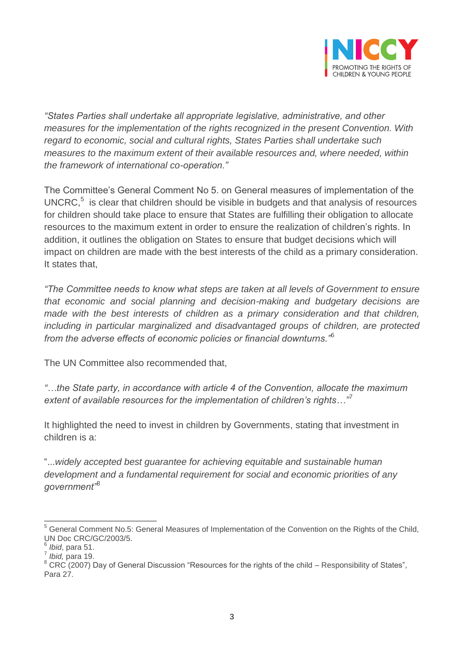

*"States Parties shall undertake all appropriate legislative, administrative, and other measures for the implementation of the rights recognized in the present Convention. With regard to economic, social and cultural rights, States Parties shall undertake such measures to the maximum extent of their available resources and, where needed, within the framework of international co-operation."*

The Committee's General Comment No 5. on General measures of implementation of the  $UNERC<sub>1</sub><sup>5</sup>$  is clear that children should be visible in budgets and that analysis of resources for children should take place to ensure that States are fulfilling their obligation to allocate resources to the maximum extent in order to ensure the realization of children's rights. In addition, it outlines the obligation on States to ensure that budget decisions which will impact on children are made with the best interests of the child as a primary consideration. It states that,

*"The Committee needs to know what steps are taken at all levels of Government to ensure that economic and social planning and decision-making and budgetary decisions are made with the best interests of children as a primary consideration and that children, including in particular marginalized and disadvantaged groups of children, are protected from the adverse effects of economic policies or financial downturns."*<sup>6</sup>

The UN Committee also recommended that,

*"…the State party, in accordance with article 4 of the Convention, allocate the maximum extent of available resources for the implementation of children's rights…"*<sup>7</sup>

It highlighted the need to invest in children by Governments, stating that investment in children is a:

"...*widely accepted best guarantee for achieving equitable and sustainable human development and a fundamental requirement for social and economic priorities of any government"*<sup>8</sup>

 $\overline{a}$ <sup>5</sup> General Comment No.5: General Measures of Implementation of the Convention on the Rights of the Child, UN Doc CRC/GC/2003/5.

<sup>6</sup> *Ibid*, para 51. 7 *Ibid,* para 19.

 $8$  CRC (2007) Day of General Discussion "Resources for the rights of the child – Responsibility of States", Para 27.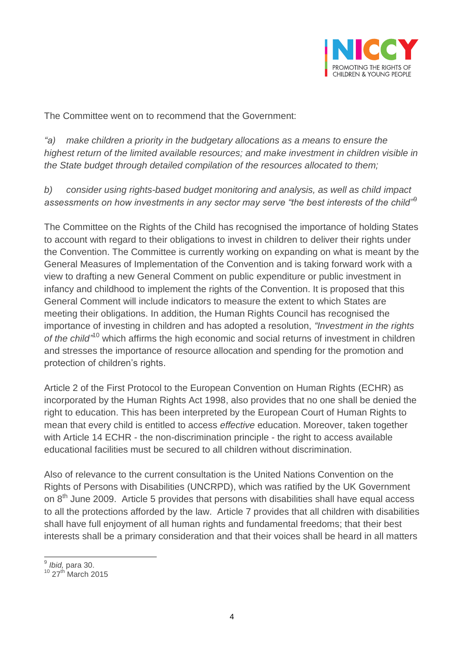

The Committee went on to recommend that the Government:

*"a) make children a priority in the budgetary allocations as a means to ensure the highest return of the limited available resources; and make investment in children visible in the State budget through detailed compilation of the resources allocated to them;*

*b) consider using rights-based budget monitoring and analysis, as well as child impact assessments on how investments in any sector may serve "the best interests of the child"*<sup>9</sup>

The Committee on the Rights of the Child has recognised the importance of holding States to account with regard to their obligations to invest in children to deliver their rights under the Convention. The Committee is currently working on expanding on what is meant by the General Measures of Implementation of the Convention and is taking forward work with a view to drafting a new General Comment on public expenditure or public investment in infancy and childhood to implement the rights of the Convention. It is proposed that this General Comment will include indicators to measure the extent to which States are meeting their obligations. In addition, the Human Rights Council has recognised the importance of investing in children and has adopted a resolution, *"Investment in the rights*  of the child<sup>"10</sup> which affirms the high economic and social returns of investment in children and stresses the importance of resource allocation and spending for the promotion and protection of children's rights.

Article 2 of the First Protocol to the European Convention on Human Rights (ECHR) as incorporated by the Human Rights Act 1998, also provides that no one shall be denied the right to education. This has been interpreted by the European Court of Human Rights to mean that every child is entitled to access *effective* education. Moreover, taken together with Article 14 ECHR - the non-discrimination principle - the right to access available educational facilities must be secured to all children without discrimination.

Also of relevance to the current consultation is the United Nations Convention on the Rights of Persons with Disabilities (UNCRPD), which was ratified by the UK Government on  $8<sup>th</sup>$  June 2009. Article 5 provides that persons with disabilities shall have equal access to all the protections afforded by the law. Article 7 provides that all children with disabilities shall have full enjoyment of all human rights and fundamental freedoms; that their best interests shall be a primary consideration and that their voices shall be heard in all matters

 9 *Ibid,* para 30.

 $10$  27<sup>th</sup> March 2015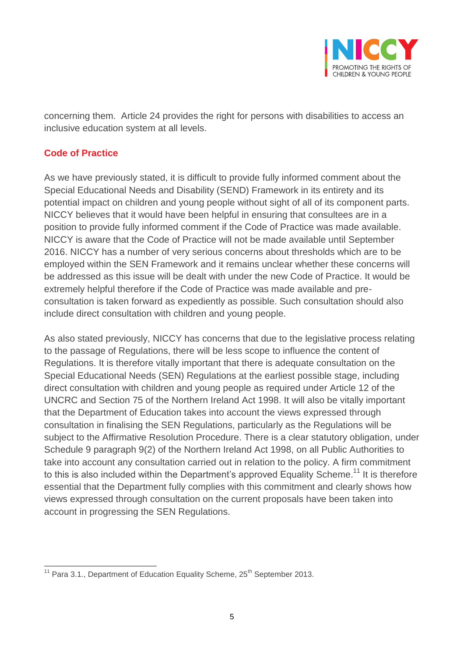

concerning them. Article 24 provides the right for persons with disabilities to access an inclusive education system at all levels.

## **Code of Practice**

As we have previously stated, it is difficult to provide fully informed comment about the Special Educational Needs and Disability (SEND) Framework in its entirety and its potential impact on children and young people without sight of all of its component parts. NICCY believes that it would have been helpful in ensuring that consultees are in a position to provide fully informed comment if the Code of Practice was made available. NICCY is aware that the Code of Practice will not be made available until September 2016. NICCY has a number of very serious concerns about thresholds which are to be employed within the SEN Framework and it remains unclear whether these concerns will be addressed as this issue will be dealt with under the new Code of Practice. It would be extremely helpful therefore if the Code of Practice was made available and preconsultation is taken forward as expediently as possible. Such consultation should also include direct consultation with children and young people.

As also stated previously, NICCY has concerns that due to the legislative process relating to the passage of Regulations, there will be less scope to influence the content of Regulations. It is therefore vitally important that there is adequate consultation on the Special Educational Needs (SEN) Regulations at the earliest possible stage, including direct consultation with children and young people as required under Article 12 of the UNCRC and Section 75 of the Northern Ireland Act 1998. It will also be vitally important that the Department of Education takes into account the views expressed through consultation in finalising the SEN Regulations, particularly as the Regulations will be subject to the Affirmative Resolution Procedure. There is a clear statutory obligation, under Schedule 9 paragraph 9(2) of the Northern Ireland Act 1998, on all Public Authorities to take into account any consultation carried out in relation to the policy. A firm commitment to this is also included within the Department's approved Equality Scheme.<sup>11</sup> It is therefore essential that the Department fully complies with this commitment and clearly shows how views expressed through consultation on the current proposals have been taken into account in progressing the SEN Regulations.

 $\overline{a}$ <sup>11</sup> Para 3.1., Department of Education Equality Scheme,  $25<sup>th</sup>$  September 2013.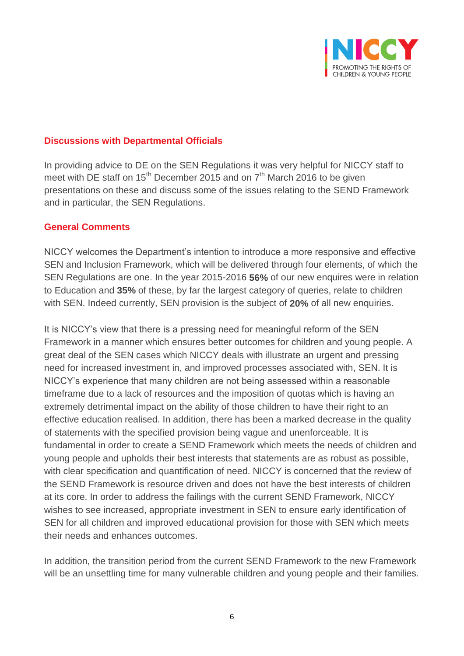

#### **Discussions with Departmental Officials**

In providing advice to DE on the SEN Regulations it was very helpful for NICCY staff to meet with DE staff on  $15^{th}$  December 2015 and on  $7^{th}$  March 2016 to be given presentations on these and discuss some of the issues relating to the SEND Framework and in particular, the SEN Regulations.

#### **General Comments**

NICCY welcomes the Department's intention to introduce a more responsive and effective SEN and Inclusion Framework, which will be delivered through four elements, of which the SEN Regulations are one. In the year 2015-2016 **56%** of our new enquires were in relation to Education and **35%** of these, by far the largest category of queries, relate to children with SEN. Indeed currently, SEN provision is the subject of **20%** of all new enquiries.

It is NICCY's view that there is a pressing need for meaningful reform of the SEN Framework in a manner which ensures better outcomes for children and young people. A great deal of the SEN cases which NICCY deals with illustrate an urgent and pressing need for increased investment in, and improved processes associated with, SEN. It is NICCY's experience that many children are not being assessed within a reasonable timeframe due to a lack of resources and the imposition of quotas which is having an extremely detrimental impact on the ability of those children to have their right to an effective education realised. In addition, there has been a marked decrease in the quality of statements with the specified provision being vague and unenforceable. It is fundamental in order to create a SEND Framework which meets the needs of children and young people and upholds their best interests that statements are as robust as possible, with clear specification and quantification of need. NICCY is concerned that the review of the SEND Framework is resource driven and does not have the best interests of children at its core. In order to address the failings with the current SEND Framework, NICCY wishes to see increased, appropriate investment in SEN to ensure early identification of SEN for all children and improved educational provision for those with SEN which meets their needs and enhances outcomes.

In addition, the transition period from the current SEND Framework to the new Framework will be an unsettling time for many vulnerable children and young people and their families.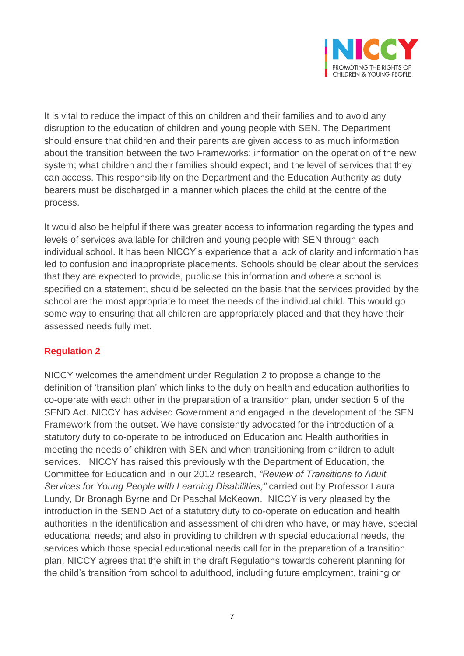

It is vital to reduce the impact of this on children and their families and to avoid any disruption to the education of children and young people with SEN. The Department should ensure that children and their parents are given access to as much information about the transition between the two Frameworks; information on the operation of the new system; what children and their families should expect; and the level of services that they can access. This responsibility on the Department and the Education Authority as duty bearers must be discharged in a manner which places the child at the centre of the process.

It would also be helpful if there was greater access to information regarding the types and levels of services available for children and young people with SEN through each individual school. It has been NICCY's experience that a lack of clarity and information has led to confusion and inappropriate placements. Schools should be clear about the services that they are expected to provide, publicise this information and where a school is specified on a statement, should be selected on the basis that the services provided by the school are the most appropriate to meet the needs of the individual child. This would go some way to ensuring that all children are appropriately placed and that they have their assessed needs fully met.

### **Regulation 2**

NICCY welcomes the amendment under Regulation 2 to propose a change to the definition of 'transition plan' which links to the duty on health and education authorities to co-operate with each other in the preparation of a transition plan, under section 5 of the SEND Act. NICCY has advised Government and engaged in the development of the SEN Framework from the outset. We have consistently advocated for the introduction of a statutory duty to co-operate to be introduced on Education and Health authorities in meeting the needs of children with SEN and when transitioning from children to adult services. NICCY has raised this previously with the Department of Education, the Committee for Education and in our 2012 research, *"Review of Transitions to Adult Services for Young People with Learning Disabilities,"* carried out by Professor Laura Lundy, Dr Bronagh Byrne and Dr Paschal McKeown. NICCY is very pleased by the introduction in the SEND Act of a statutory duty to co-operate on education and health authorities in the identification and assessment of children who have, or may have, special educational needs; and also in providing to children with special educational needs, the services which those special educational needs call for in the preparation of a transition plan. NICCY agrees that the shift in the draft Regulations towards coherent planning for the child's transition from school to adulthood, including future employment, training or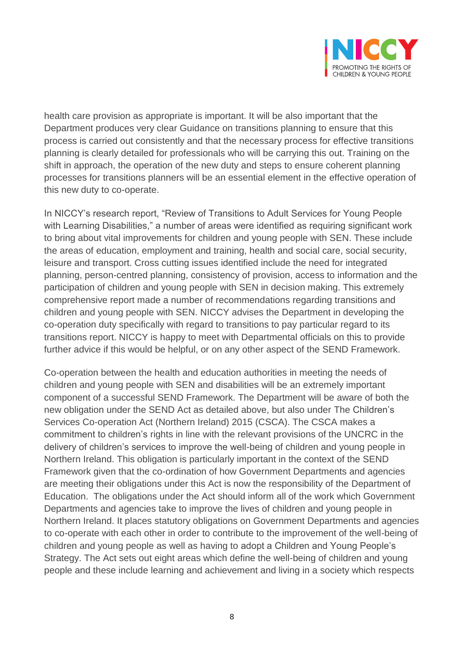

health care provision as appropriate is important. It will be also important that the Department produces very clear Guidance on transitions planning to ensure that this process is carried out consistently and that the necessary process for effective transitions planning is clearly detailed for professionals who will be carrying this out. Training on the shift in approach, the operation of the new duty and steps to ensure coherent planning processes for transitions planners will be an essential element in the effective operation of this new duty to co-operate.

In NICCY's research report, "Review of Transitions to Adult Services for Young People with Learning Disabilities," a number of areas were identified as requiring significant work to bring about vital improvements for children and young people with SEN. These include the areas of education, employment and training, health and social care, social security, leisure and transport. Cross cutting issues identified include the need for integrated planning, person-centred planning, consistency of provision, access to information and the participation of children and young people with SEN in decision making. This extremely comprehensive report made a number of recommendations regarding transitions and children and young people with SEN. NICCY advises the Department in developing the co-operation duty specifically with regard to transitions to pay particular regard to its transitions report. NICCY is happy to meet with Departmental officials on this to provide further advice if this would be helpful, or on any other aspect of the SEND Framework.

Co-operation between the health and education authorities in meeting the needs of children and young people with SEN and disabilities will be an extremely important component of a successful SEND Framework. The Department will be aware of both the new obligation under the SEND Act as detailed above, but also under The Children's Services Co-operation Act (Northern Ireland) 2015 (CSCA). The CSCA makes a commitment to children's rights in line with the relevant provisions of the UNCRC in the delivery of children's services to improve the well-being of children and young people in Northern Ireland. This obligation is particularly important in the context of the SEND Framework given that the co-ordination of how Government Departments and agencies are meeting their obligations under this Act is now the responsibility of the Department of Education. The obligations under the Act should inform all of the work which Government Departments and agencies take to improve the lives of children and young people in Northern Ireland. It places statutory obligations on Government Departments and agencies to co-operate with each other in order to contribute to the improvement of the well-being of children and young people as well as having to adopt a Children and Young People's Strategy. The Act sets out eight areas which define the well-being of children and young people and these include learning and achievement and living in a society which respects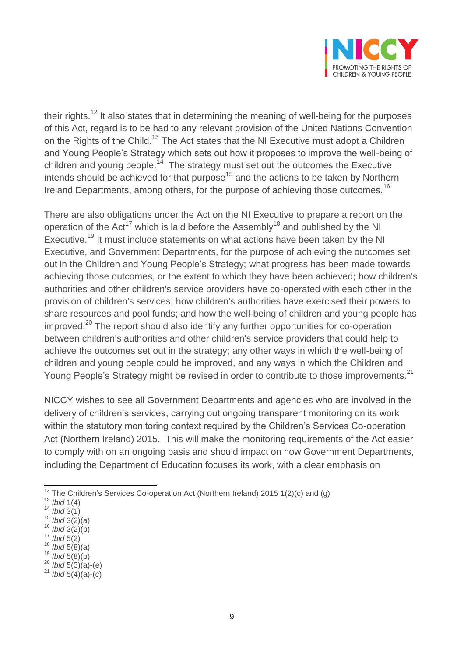

their rights.<sup>12</sup> It also states that in determining the meaning of well-being for the purposes of this Act, regard is to be had to any relevant provision of the United Nations Convention on the Rights of the Child.<sup>13</sup> The Act states that the NI Executive must adopt a Children and Young People's Strategy which sets out how it proposes to improve the well-being of children and young people.<sup>14</sup> The strategy must set out the outcomes the Executive intends should be achieved for that purpose<sup>15</sup> and the actions to be taken by Northern Ireland Departments, among others, for the purpose of achieving those outcomes.<sup>16</sup>

There are also obligations under the Act on the NI Executive to prepare a report on the operation of the Act<sup>17</sup> which is laid before the Assembly<sup>18</sup> and published by the NI Executive.<sup>19</sup> It must include statements on what actions have been taken by the NI Executive, and Government Departments, for the purpose of achieving the outcomes set out in the Children and Young People's Strategy; what progress has been made towards achieving those outcomes, or the extent to which they have been achieved; how children's authorities and other children's service providers have co-operated with each other in the provision of children's services; how children's authorities have exercised their powers to share resources and pool funds; and how the well-being of children and young people has improved.<sup>20</sup> The report should also identify any further opportunities for co-operation between children's authorities and other children's service providers that could help to achieve the outcomes set out in the strategy; any other ways in which the well-being of children and young people could be improved, and any ways in which the Children and Young People's Strategy might be revised in order to contribute to those improvements.<sup>21</sup>

NICCY wishes to see all Government Departments and agencies who are involved in the delivery of children's services, carrying out ongoing transparent monitoring on its work within the statutory monitoring context required by the Children's Services Co-operation Act (Northern Ireland) 2015. This will make the monitoring requirements of the Act easier to comply with on an ongoing basis and should impact on how Government Departments, including the Department of Education focuses its work, with a clear emphasis on

<sup>18</sup> *Ibid* 5(8)(a) <sup>19</sup> *Ibid* 5(8)(b)

 $\overline{\phantom{a}}$  $12$  The Children's Services Co-operation Act (Northern Ireland) 2015 1(2)(c) and (g)

<sup>13</sup> *Ibid* 1(4)

<sup>14</sup> *Ibid* 3(1)

<sup>15</sup> *Ibid* 3(2)(a)

<sup>16</sup> *Ibid* 3(2)(b)

<sup>17</sup> *Ibid* 5(2)

<sup>20</sup> *Ibid* 5(3)(a)-(e)

<sup>21</sup> *Ibid* 5(4)(a)-(c)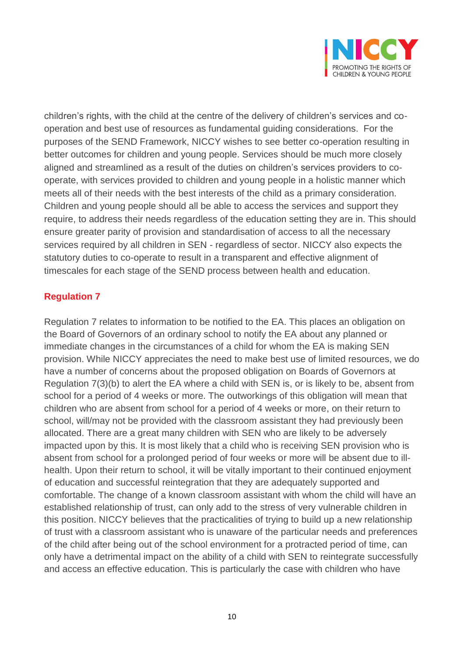

children's rights, with the child at the centre of the delivery of children's services and cooperation and best use of resources as fundamental guiding considerations. For the purposes of the SEND Framework, NICCY wishes to see better co-operation resulting in better outcomes for children and young people. Services should be much more closely aligned and streamlined as a result of the duties on children's services providers to cooperate, with services provided to children and young people in a holistic manner which meets all of their needs with the best interests of the child as a primary consideration. Children and young people should all be able to access the services and support they require, to address their needs regardless of the education setting they are in. This should ensure greater parity of provision and standardisation of access to all the necessary services required by all children in SEN - regardless of sector. NICCY also expects the statutory duties to co-operate to result in a transparent and effective alignment of timescales for each stage of the SEND process between health and education.

## **Regulation 7**

Regulation 7 relates to information to be notified to the EA. This places an obligation on the Board of Governors of an ordinary school to notify the EA about any planned or immediate changes in the circumstances of a child for whom the EA is making SEN provision. While NICCY appreciates the need to make best use of limited resources, we do have a number of concerns about the proposed obligation on Boards of Governors at Regulation 7(3)(b) to alert the EA where a child with SEN is, or is likely to be, absent from school for a period of 4 weeks or more. The outworkings of this obligation will mean that children who are absent from school for a period of 4 weeks or more, on their return to school, will/may not be provided with the classroom assistant they had previously been allocated. There are a great many children with SEN who are likely to be adversely impacted upon by this. It is most likely that a child who is receiving SEN provision who is absent from school for a prolonged period of four weeks or more will be absent due to illhealth. Upon their return to school, it will be vitally important to their continued enjoyment of education and successful reintegration that they are adequately supported and comfortable. The change of a known classroom assistant with whom the child will have an established relationship of trust, can only add to the stress of very vulnerable children in this position. NICCY believes that the practicalities of trying to build up a new relationship of trust with a classroom assistant who is unaware of the particular needs and preferences of the child after being out of the school environment for a protracted period of time, can only have a detrimental impact on the ability of a child with SEN to reintegrate successfully and access an effective education. This is particularly the case with children who have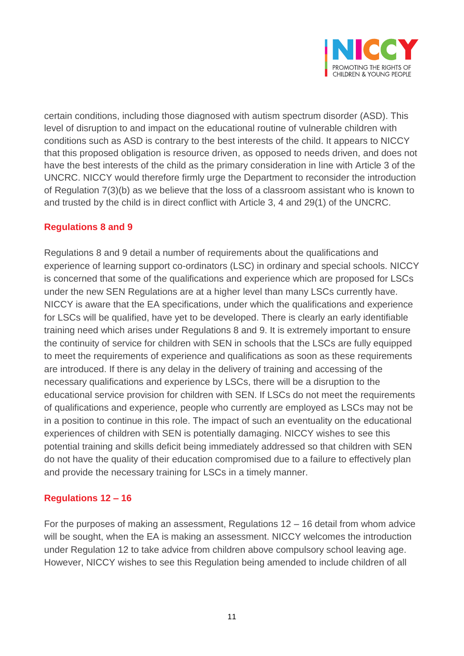

certain conditions, including those diagnosed with autism spectrum disorder (ASD). This level of disruption to and impact on the educational routine of vulnerable children with conditions such as ASD is contrary to the best interests of the child. It appears to NICCY that this proposed obligation is resource driven, as opposed to needs driven, and does not have the best interests of the child as the primary consideration in line with Article 3 of the UNCRC. NICCY would therefore firmly urge the Department to reconsider the introduction of Regulation 7(3)(b) as we believe that the loss of a classroom assistant who is known to and trusted by the child is in direct conflict with Article 3, 4 and 29(1) of the UNCRC.

### **Regulations 8 and 9**

Regulations 8 and 9 detail a number of requirements about the qualifications and experience of learning support co-ordinators (LSC) in ordinary and special schools. NICCY is concerned that some of the qualifications and experience which are proposed for LSCs under the new SEN Regulations are at a higher level than many LSCs currently have. NICCY is aware that the EA specifications, under which the qualifications and experience for LSCs will be qualified, have yet to be developed. There is clearly an early identifiable training need which arises under Regulations 8 and 9. It is extremely important to ensure the continuity of service for children with SEN in schools that the LSCs are fully equipped to meet the requirements of experience and qualifications as soon as these requirements are introduced. If there is any delay in the delivery of training and accessing of the necessary qualifications and experience by LSCs, there will be a disruption to the educational service provision for children with SEN. If LSCs do not meet the requirements of qualifications and experience, people who currently are employed as LSCs may not be in a position to continue in this role. The impact of such an eventuality on the educational experiences of children with SEN is potentially damaging. NICCY wishes to see this potential training and skills deficit being immediately addressed so that children with SEN do not have the quality of their education compromised due to a failure to effectively plan and provide the necessary training for LSCs in a timely manner.

### **Regulations 12 – 16**

For the purposes of making an assessment, Regulations 12 – 16 detail from whom advice will be sought, when the EA is making an assessment. NICCY welcomes the introduction under Regulation 12 to take advice from children above compulsory school leaving age. However, NICCY wishes to see this Regulation being amended to include children of all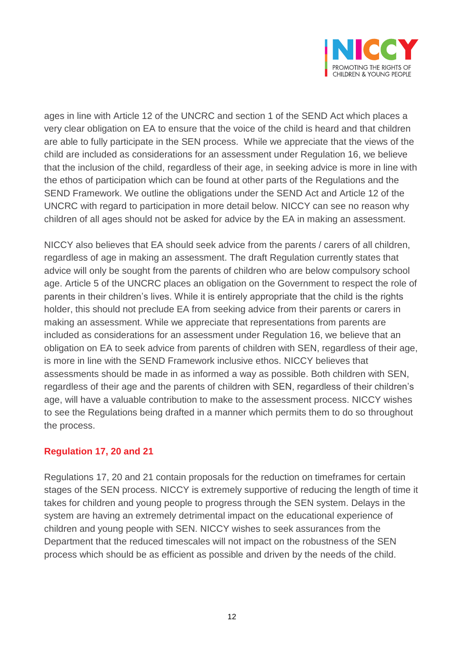

ages in line with Article 12 of the UNCRC and section 1 of the SEND Act which places a very clear obligation on EA to ensure that the voice of the child is heard and that children are able to fully participate in the SEN process. While we appreciate that the views of the child are included as considerations for an assessment under Regulation 16, we believe that the inclusion of the child, regardless of their age, in seeking advice is more in line with the ethos of participation which can be found at other parts of the Regulations and the SEND Framework. We outline the obligations under the SEND Act and Article 12 of the UNCRC with regard to participation in more detail below. NICCY can see no reason why children of all ages should not be asked for advice by the EA in making an assessment.

NICCY also believes that EA should seek advice from the parents / carers of all children, regardless of age in making an assessment. The draft Regulation currently states that advice will only be sought from the parents of children who are below compulsory school age. Article 5 of the UNCRC places an obligation on the Government to respect the role of parents in their children's lives. While it is entirely appropriate that the child is the rights holder, this should not preclude EA from seeking advice from their parents or carers in making an assessment. While we appreciate that representations from parents are included as considerations for an assessment under Regulation 16, we believe that an obligation on EA to seek advice from parents of children with SEN, regardless of their age, is more in line with the SEND Framework inclusive ethos. NICCY believes that assessments should be made in as informed a way as possible. Both children with SEN, regardless of their age and the parents of children with SEN, regardless of their children's age, will have a valuable contribution to make to the assessment process. NICCY wishes to see the Regulations being drafted in a manner which permits them to do so throughout the process.

### **Regulation 17, 20 and 21**

Regulations 17, 20 and 21 contain proposals for the reduction on timeframes for certain stages of the SEN process. NICCY is extremely supportive of reducing the length of time it takes for children and young people to progress through the SEN system. Delays in the system are having an extremely detrimental impact on the educational experience of children and young people with SEN. NICCY wishes to seek assurances from the Department that the reduced timescales will not impact on the robustness of the SEN process which should be as efficient as possible and driven by the needs of the child.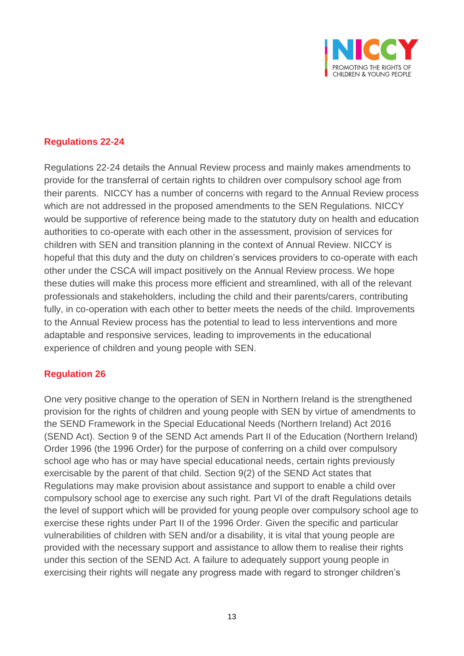

## **Regulations 22-24**

Regulations 22-24 details the Annual Review process and mainly makes amendments to provide for the transferral of certain rights to children over compulsory school age from their parents. NICCY has a number of concerns with regard to the Annual Review process which are not addressed in the proposed amendments to the SEN Regulations. NICCY would be supportive of reference being made to the statutory duty on health and education authorities to co-operate with each other in the assessment, provision of services for children with SEN and transition planning in the context of Annual Review. NICCY is hopeful that this duty and the duty on children's services providers to co-operate with each other under the CSCA will impact positively on the Annual Review process. We hope these duties will make this process more efficient and streamlined, with all of the relevant professionals and stakeholders, including the child and their parents/carers, contributing fully, in co-operation with each other to better meets the needs of the child. Improvements to the Annual Review process has the potential to lead to less interventions and more adaptable and responsive services, leading to improvements in the educational experience of children and young people with SEN.

### **Regulation 26**

One very positive change to the operation of SEN in Northern Ireland is the strengthened provision for the rights of children and young people with SEN by virtue of amendments to the SEND Framework in the Special Educational Needs (Northern Ireland) Act 2016 (SEND Act). Section 9 of the SEND Act amends Part II of the Education (Northern Ireland) Order 1996 (the 1996 Order) for the purpose of conferring on a child over compulsory school age who has or may have special educational needs, certain rights previously exercisable by the parent of that child. Section 9(2) of the SEND Act states that Regulations may make provision about assistance and support to enable a child over compulsory school age to exercise any such right. Part VI of the draft Regulations details the level of support which will be provided for young people over compulsory school age to exercise these rights under Part II of the 1996 Order. Given the specific and particular vulnerabilities of children with SEN and/or a disability, it is vital that young people are provided with the necessary support and assistance to allow them to realise their rights under this section of the SEND Act. A failure to adequately support young people in exercising their rights will negate any progress made with regard to stronger children's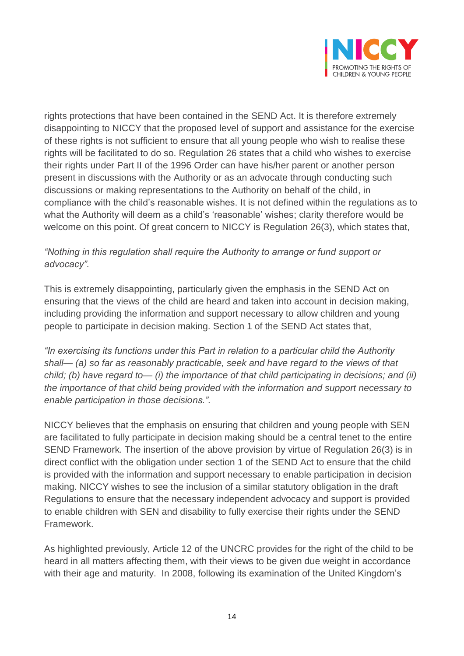

rights protections that have been contained in the SEND Act. It is therefore extremely disappointing to NICCY that the proposed level of support and assistance for the exercise of these rights is not sufficient to ensure that all young people who wish to realise these rights will be facilitated to do so. Regulation 26 states that a child who wishes to exercise their rights under Part II of the 1996 Order can have his/her parent or another person present in discussions with the Authority or as an advocate through conducting such discussions or making representations to the Authority on behalf of the child, in compliance with the child's reasonable wishes. It is not defined within the regulations as to what the Authority will deem as a child's 'reasonable' wishes; clarity therefore would be welcome on this point. Of great concern to NICCY is Regulation 26(3), which states that,

## *"Nothing in this regulation shall require the Authority to arrange or fund support or advocacy".*

This is extremely disappointing, particularly given the emphasis in the SEND Act on ensuring that the views of the child are heard and taken into account in decision making, including providing the information and support necessary to allow children and young people to participate in decision making. Section 1 of the SEND Act states that,

*"In exercising its functions under this Part in relation to a particular child the Authority shall— (a) so far as reasonably practicable, seek and have regard to the views of that child; (b) have regard to— (i) the importance of that child participating in decisions; and (ii) the importance of that child being provided with the information and support necessary to enable participation in those decisions.".* 

NICCY believes that the emphasis on ensuring that children and young people with SEN are facilitated to fully participate in decision making should be a central tenet to the entire SEND Framework. The insertion of the above provision by virtue of Regulation 26(3) is in direct conflict with the obligation under section 1 of the SEND Act to ensure that the child is provided with the information and support necessary to enable participation in decision making. NICCY wishes to see the inclusion of a similar statutory obligation in the draft Regulations to ensure that the necessary independent advocacy and support is provided to enable children with SEN and disability to fully exercise their rights under the SEND Framework.

As highlighted previously, Article 12 of the UNCRC provides for the right of the child to be heard in all matters affecting them, with their views to be given due weight in accordance with their age and maturity. In 2008, following its examination of the United Kingdom's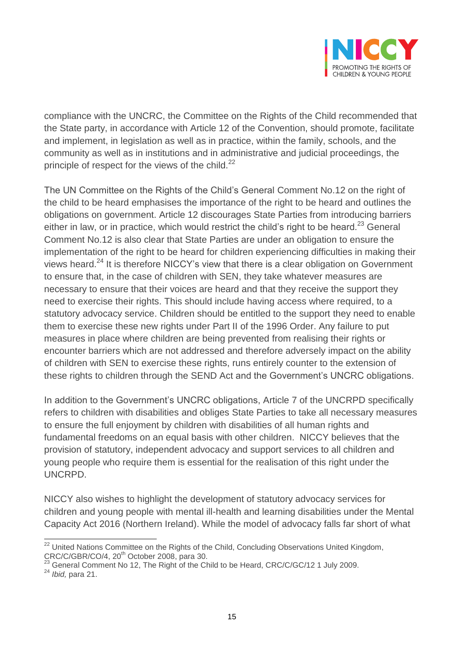

compliance with the UNCRC, the Committee on the Rights of the Child recommended that the State party, in accordance with Article 12 of the Convention, should promote, facilitate and implement, in legislation as well as in practice, within the family, schools, and the community as well as in institutions and in administrative and judicial proceedings, the principle of respect for the views of the child. $^{22}$ 

The UN Committee on the Rights of the Child's General Comment No.12 on the right of the child to be heard emphasises the importance of the right to be heard and outlines the obligations on government. Article 12 discourages State Parties from introducing barriers either in law, or in practice, which would restrict the child's right to be heard.<sup>23</sup> General Comment No.12 is also clear that State Parties are under an obligation to ensure the implementation of the right to be heard for children experiencing difficulties in making their views heard. $^{24}$  It is therefore NICCY's view that there is a clear obligation on Government to ensure that, in the case of children with SEN, they take whatever measures are necessary to ensure that their voices are heard and that they receive the support they need to exercise their rights. This should include having access where required, to a statutory advocacy service. Children should be entitled to the support they need to enable them to exercise these new rights under Part II of the 1996 Order. Any failure to put measures in place where children are being prevented from realising their rights or encounter barriers which are not addressed and therefore adversely impact on the ability of children with SEN to exercise these rights, runs entirely counter to the extension of these rights to children through the SEND Act and the Government's UNCRC obligations.

In addition to the Government's UNCRC obligations, Article 7 of the UNCRPD specifically refers to children with disabilities and obliges State Parties to take all necessary measures to ensure the full enjoyment by children with disabilities of all human rights and fundamental freedoms on an equal basis with other children. NICCY believes that the provision of statutory, independent advocacy and support services to all children and young people who require them is essential for the realisation of this right under the UNCRPD.

NICCY also wishes to highlight the development of statutory advocacy services for children and young people with mental ill-health and learning disabilities under the Mental Capacity Act 2016 (Northern Ireland). While the model of advocacy falls far short of what

 $\overline{a}$  $22$  United Nations Committee on the Rights of the Child, Concluding Observations United Kingdom, CRC/C/GBR/CO/4, 20<sup>th</sup> October 2008, para 30.

 $23$  General Comment No 12, The Right of the Child to be Heard, CRC/C/GC/12 1 July 2009.

<sup>24</sup> *Ibid,* para 21.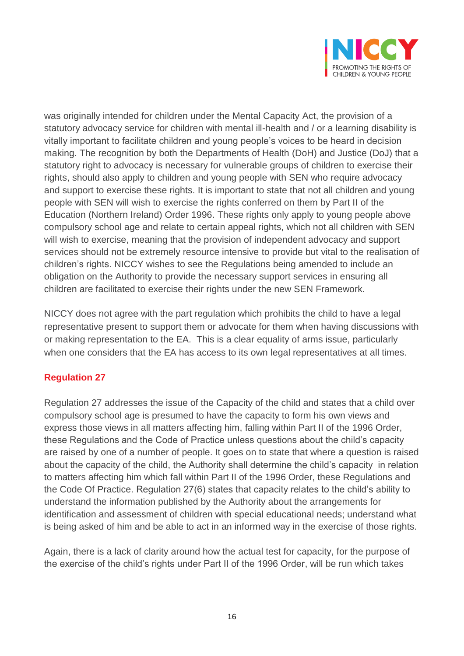

was originally intended for children under the Mental Capacity Act, the provision of a statutory advocacy service for children with mental ill-health and / or a learning disability is vitally important to facilitate children and young people's voices to be heard in decision making. The recognition by both the Departments of Health (DoH) and Justice (DoJ) that a statutory right to advocacy is necessary for vulnerable groups of children to exercise their rights, should also apply to children and young people with SEN who require advocacy and support to exercise these rights. It is important to state that not all children and young people with SEN will wish to exercise the rights conferred on them by Part II of the Education (Northern Ireland) Order 1996. These rights only apply to young people above compulsory school age and relate to certain appeal rights, which not all children with SEN will wish to exercise, meaning that the provision of independent advocacy and support services should not be extremely resource intensive to provide but vital to the realisation of children's rights. NICCY wishes to see the Regulations being amended to include an obligation on the Authority to provide the necessary support services in ensuring all children are facilitated to exercise their rights under the new SEN Framework.

NICCY does not agree with the part regulation which prohibits the child to have a legal representative present to support them or advocate for them when having discussions with or making representation to the EA. This is a clear equality of arms issue, particularly when one considers that the EA has access to its own legal representatives at all times.

# **Regulation 27**

Regulation 27 addresses the issue of the Capacity of the child and states that a child over compulsory school age is presumed to have the capacity to form his own views and express those views in all matters affecting him, falling within Part II of the 1996 Order, these Regulations and the Code of Practice unless questions about the child's capacity are raised by one of a number of people. It goes on to state that where a question is raised about the capacity of the child, the Authority shall determine the child's capacity in relation to matters affecting him which fall within Part II of the 1996 Order, these Regulations and the Code Of Practice. Regulation 27(6) states that capacity relates to the child's ability to understand the information published by the Authority about the arrangements for identification and assessment of children with special educational needs; understand what is being asked of him and be able to act in an informed way in the exercise of those rights.

Again, there is a lack of clarity around how the actual test for capacity, for the purpose of the exercise of the child's rights under Part II of the 1996 Order, will be run which takes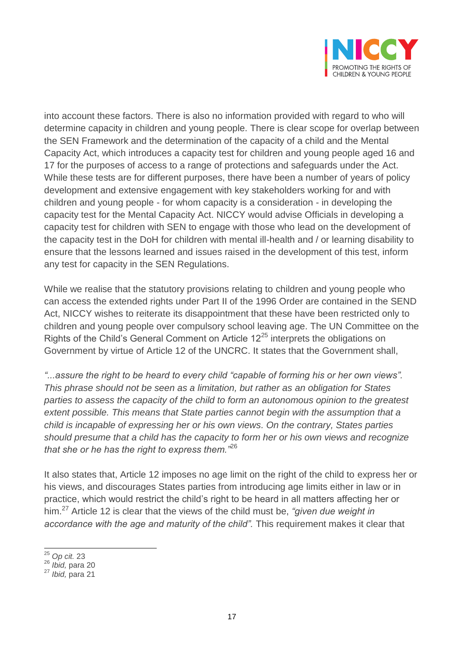

into account these factors. There is also no information provided with regard to who will determine capacity in children and young people. There is clear scope for overlap between the SEN Framework and the determination of the capacity of a child and the Mental Capacity Act, which introduces a capacity test for children and young people aged 16 and 17 for the purposes of access to a range of protections and safeguards under the Act. While these tests are for different purposes, there have been a number of years of policy development and extensive engagement with key stakeholders working for and with children and young people - for whom capacity is a consideration - in developing the capacity test for the Mental Capacity Act. NICCY would advise Officials in developing a capacity test for children with SEN to engage with those who lead on the development of the capacity test in the DoH for children with mental ill-health and / or learning disability to ensure that the lessons learned and issues raised in the development of this test, inform any test for capacity in the SEN Regulations.

While we realise that the statutory provisions relating to children and young people who can access the extended rights under Part II of the 1996 Order are contained in the SEND Act, NICCY wishes to reiterate its disappointment that these have been restricted only to children and young people over compulsory school leaving age. The UN Committee on the Rights of the Child's General Comment on Article  $12^{25}$  interprets the obligations on Government by virtue of Article 12 of the UNCRC. It states that the Government shall,

*"...assure the right to be heard to every child "capable of forming his or her own views". This phrase should not be seen as a limitation, but rather as an obligation for States parties to assess the capacity of the child to form an autonomous opinion to the greatest extent possible. This means that State parties cannot begin with the assumption that a child is incapable of expressing her or his own views. On the contrary, States parties should presume that a child has the capacity to form her or his own views and recognize that she or he has the right to express them."*<sup>26</sup>

It also states that, Article 12 imposes no age limit on the right of the child to express her or his views, and discourages States parties from introducing age limits either in law or in practice, which would restrict the child's right to be heard in all matters affecting her or him.<sup>27</sup> Article 12 is clear that the views of the child must be, *"given due weight in accordance with the age and maturity of the child".* This requirement makes it clear that

 $\overline{\phantom{a}}$ <sup>25</sup> *Op cit.* 23

<sup>26</sup> *Ibid,* para 20

<sup>27</sup> *Ibid,* para 21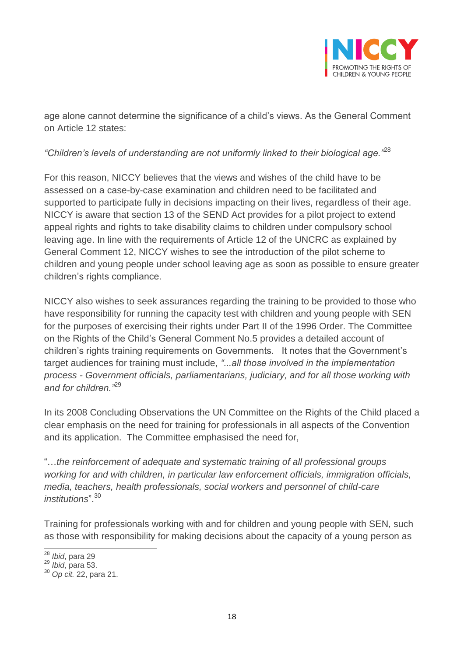

age alone cannot determine the significance of a child's views. As the General Comment on Article 12 states:

## *"Children's levels of understanding are not uniformly linked to their biological age."*<sup>28</sup>

For this reason, NICCY believes that the views and wishes of the child have to be assessed on a case-by-case examination and children need to be facilitated and supported to participate fully in decisions impacting on their lives, regardless of their age. NICCY is aware that section 13 of the SEND Act provides for a pilot project to extend appeal rights and rights to take disability claims to children under compulsory school leaving age. In line with the requirements of Article 12 of the UNCRC as explained by General Comment 12, NICCY wishes to see the introduction of the pilot scheme to children and young people under school leaving age as soon as possible to ensure greater children's rights compliance.

NICCY also wishes to seek assurances regarding the training to be provided to those who have responsibility for running the capacity test with children and young people with SEN for the purposes of exercising their rights under Part II of the 1996 Order. The Committee on the Rights of the Child's General Comment No.5 provides a detailed account of children's rights training requirements on Governments. It notes that the Government's target audiences for training must include, *"...all those involved in the implementation process - Government officials, parliamentarians, judiciary, and for all those working with and for children."*<sup>29</sup>

In its 2008 Concluding Observations the UN Committee on the Rights of the Child placed a clear emphasis on the need for training for professionals in all aspects of the Convention and its application. The Committee emphasised the need for,

"…*the reinforcement of adequate and systematic training of all professional groups working for and with children, in particular law enforcement officials, immigration officials, media, teachers, health professionals, social workers and personnel of child-care institutions*".<sup>30</sup>

Training for professionals working with and for children and young people with SEN, such as those with responsibility for making decisions about the capacity of a young person as

 $\overline{\phantom{a}}$ <sup>28</sup> *Ibid*, para 29

<sup>29</sup> *Ibid*, para 53.

<sup>30</sup> *Op cit.* 22, para 21.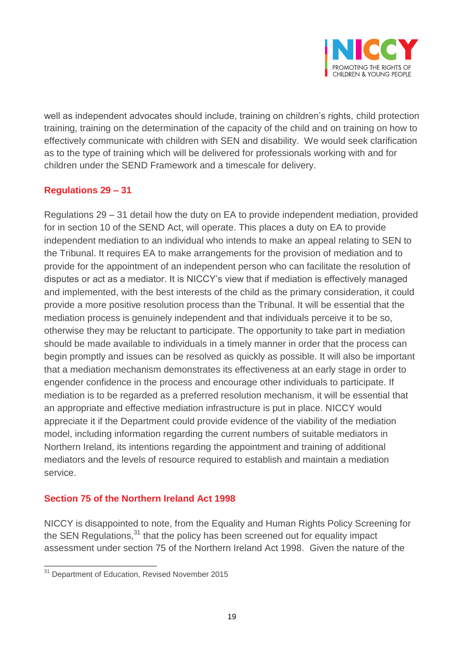

well as independent advocates should include, training on children's rights, child protection training, training on the determination of the capacity of the child and on training on how to effectively communicate with children with SEN and disability. We would seek clarification as to the type of training which will be delivered for professionals working with and for children under the SEND Framework and a timescale for delivery.

# **Regulations 29 – 31**

Regulations 29 – 31 detail how the duty on EA to provide independent mediation, provided for in section 10 of the SEND Act, will operate. This places a duty on EA to provide independent mediation to an individual who intends to make an appeal relating to SEN to the Tribunal. It requires EA to make arrangements for the provision of mediation and to provide for the appointment of an independent person who can facilitate the resolution of disputes or act as a mediator. It is NICCY's view that if mediation is effectively managed and implemented, with the best interests of the child as the primary consideration, it could provide a more positive resolution process than the Tribunal. It will be essential that the mediation process is genuinely independent and that individuals perceive it to be so, otherwise they may be reluctant to participate. The opportunity to take part in mediation should be made available to individuals in a timely manner in order that the process can begin promptly and issues can be resolved as quickly as possible. It will also be important that a mediation mechanism demonstrates its effectiveness at an early stage in order to engender confidence in the process and encourage other individuals to participate. If mediation is to be regarded as a preferred resolution mechanism, it will be essential that an appropriate and effective mediation infrastructure is put in place. NICCY would appreciate it if the Department could provide evidence of the viability of the mediation model, including information regarding the current numbers of suitable mediators in Northern Ireland, its intentions regarding the appointment and training of additional mediators and the levels of resource required to establish and maintain a mediation service.

### **Section 75 of the Northern Ireland Act 1998**

NICCY is disappointed to note, from the Equality and Human Rights Policy Screening for the SEN Regulations, $31$  that the policy has been screened out for equality impact assessment under section 75 of the Northern Ireland Act 1998. Given the nature of the

 $\overline{a}$ 

<sup>&</sup>lt;sup>31</sup> Department of Education, Revised November 2015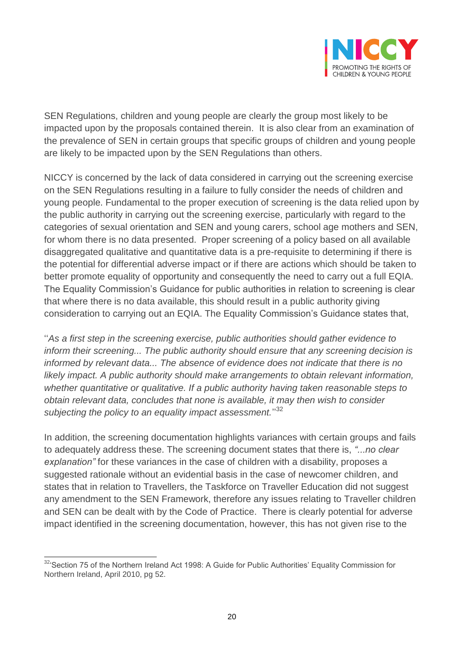

SEN Regulations, children and young people are clearly the group most likely to be impacted upon by the proposals contained therein. It is also clear from an examination of the prevalence of SEN in certain groups that specific groups of children and young people are likely to be impacted upon by the SEN Regulations than others.

NICCY is concerned by the lack of data considered in carrying out the screening exercise on the SEN Regulations resulting in a failure to fully consider the needs of children and young people. Fundamental to the proper execution of screening is the data relied upon by the public authority in carrying out the screening exercise, particularly with regard to the categories of sexual orientation and SEN and young carers, school age mothers and SEN, for whom there is no data presented. Proper screening of a policy based on all available disaggregated qualitative and quantitative data is a pre-requisite to determining if there is the potential for differential adverse impact or if there are actions which should be taken to better promote equality of opportunity and consequently the need to carry out a full EQIA. The Equality Commission's Guidance for public authorities in relation to screening is clear that where there is no data available, this should result in a public authority giving consideration to carrying out an EQIA. The Equality Commission's Guidance states that,

''*As a first step in the screening exercise, public authorities should gather evidence to inform their screening... The public authority should ensure that any screening decision is informed by relevant data... The absence of evidence does not indicate that there is no likely impact. A public authority should make arrangements to obtain relevant information, whether quantitative or qualitative. If a public authority having taken reasonable steps to obtain relevant data, concludes that none is available, it may then wish to consider*  subjecting the policy to an equality impact assessment."<sup>32</sup>

In addition, the screening documentation highlights variances with certain groups and fails to adequately address these. The screening document states that there is, *"...no clear explanation"* for these variances in the case of children with a disability, proposes a suggested rationale without an evidential basis in the case of newcomer children, and states that in relation to Travellers, the Taskforce on Traveller Education did not suggest any amendment to the SEN Framework, therefore any issues relating to Traveller children and SEN can be dealt with by the Code of Practice. There is clearly potential for adverse impact identified in the screening documentation, however, this has not given rise to the

 $\overline{a}$  $324$ 'Section 75 of the Northern Ireland Act 1998: A Guide for Public Authorities' Equality Commission for Northern Ireland, April 2010, pg 52.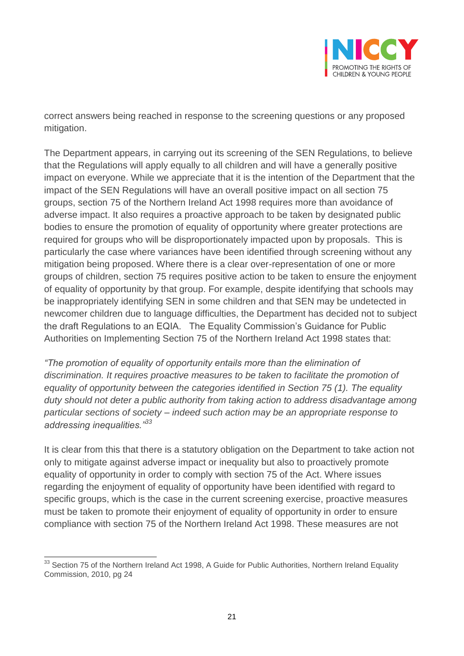

correct answers being reached in response to the screening questions or any proposed mitigation.

The Department appears, in carrying out its screening of the SEN Regulations, to believe that the Regulations will apply equally to all children and will have a generally positive impact on everyone. While we appreciate that it is the intention of the Department that the impact of the SEN Regulations will have an overall positive impact on all section 75 groups, section 75 of the Northern Ireland Act 1998 requires more than avoidance of adverse impact. It also requires a proactive approach to be taken by designated public bodies to ensure the promotion of equality of opportunity where greater protections are required for groups who will be disproportionately impacted upon by proposals. This is particularly the case where variances have been identified through screening without any mitigation being proposed. Where there is a clear over-representation of one or more groups of children, section 75 requires positive action to be taken to ensure the enjoyment of equality of opportunity by that group. For example, despite identifying that schools may be inappropriately identifying SEN in some children and that SEN may be undetected in newcomer children due to language difficulties, the Department has decided not to subject the draft Regulations to an EQIA. The Equality Commission's Guidance for Public Authorities on Implementing Section 75 of the Northern Ireland Act 1998 states that:

*"The promotion of equality of opportunity entails more than the elimination of discrimination. It requires proactive measures to be taken to facilitate the promotion of equality of opportunity between the categories identified in Section 75 (1). The equality duty should not deter a public authority from taking action to address disadvantage among particular sections of society – indeed such action may be an appropriate response to addressing inequalities."<sup>33</sup>*

It is clear from this that there is a statutory obligation on the Department to take action not only to mitigate against adverse impact or inequality but also to proactively promote equality of opportunity in order to comply with section 75 of the Act. Where issues regarding the enjoyment of equality of opportunity have been identified with regard to specific groups, which is the case in the current screening exercise, proactive measures must be taken to promote their enjoyment of equality of opportunity in order to ensure compliance with section 75 of the Northern Ireland Act 1998. These measures are not

 $\overline{a}$  $33$  Section 75 of the Northern Ireland Act 1998, A Guide for Public Authorities, Northern Ireland Equality Commission, 2010, pg 24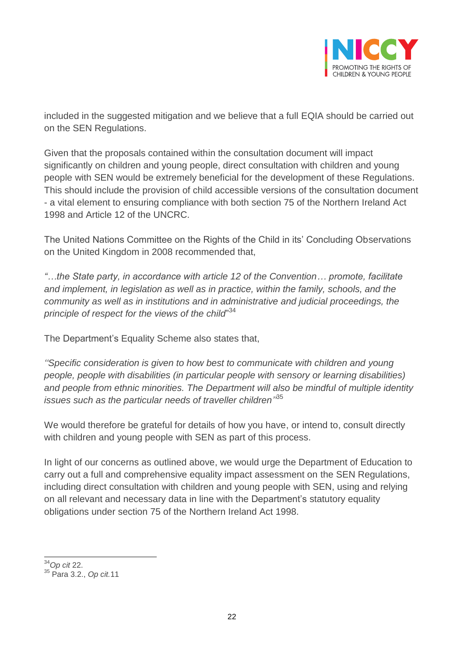

included in the suggested mitigation and we believe that a full EQIA should be carried out on the SEN Regulations.

Given that the proposals contained within the consultation document will impact significantly on children and young people, direct consultation with children and young people with SEN would be extremely beneficial for the development of these Regulations. This should include the provision of child accessible versions of the consultation document - a vital element to ensuring compliance with both section 75 of the Northern Ireland Act 1998 and Article 12 of the UNCRC.

The United Nations Committee on the Rights of the Child in its' Concluding Observations on the United Kingdom in 2008 recommended that,

*"…the State party, in accordance with article 12 of the Convention… promote, facilitate and implement, in legislation as well as in practice, within the family, schools, and the community as well as in institutions and in administrative and judicial proceedings, the principle of respect for the views of the child*" 34

The Department's Equality Scheme also states that,

*''Specific consideration is given to how best to communicate with children and young people, people with disabilities (in particular people with sensory or learning disabilities) and people from ethnic minorities. The Department will also be mindful of multiple identity issues such as the particular needs of traveller children''* 35

We would therefore be grateful for details of how you have, or intend to, consult directly with children and young people with SEN as part of this process.

In light of our concerns as outlined above, we would urge the Department of Education to carry out a full and comprehensive equality impact assessment on the SEN Regulations, including direct consultation with children and young people with SEN, using and relying on all relevant and necessary data in line with the Department's statutory equality obligations under section 75 of the Northern Ireland Act 1998.

 $\overline{a}$ <sup>34</sup>*Op cit* 22.

<sup>35</sup> Para 3.2., *Op cit.*11